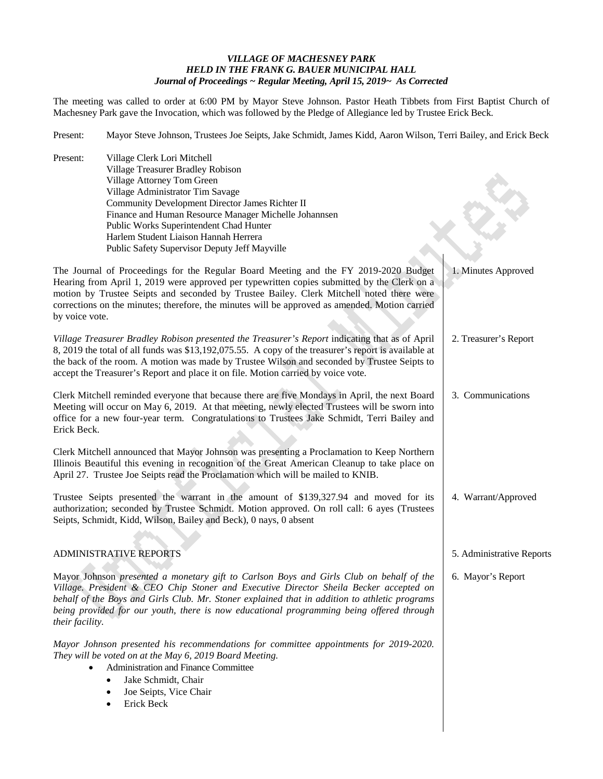## *VILLAGE OF MACHESNEY PARK HELD IN THE FRANK G. BAUER MUNICIPAL HALL Journal of Proceedings ~ Regular Meeting, April 15, 2019~ As Corrected*

The meeting was called to order at 6:00 PM by Mayor Steve Johnson. Pastor Heath Tibbets from First Baptist Church of Machesney Park gave the Invocation, which was followed by the Pledge of Allegiance led by Trustee Erick Beck.

Present: Mayor Steve Johnson, Trustees Joe Seipts, Jake Schmidt, James Kidd, Aaron Wilson, Terri Bailey, and Erick Beck

| Present:                                                                                                                                                                                                                                                                                                                                                                                         | Village Clerk Lori Mitchell<br>Village Treasurer Bradley Robison<br>Village Attorney Tom Green<br>Village Administrator Tim Savage<br>Community Development Director James Richter II<br>Finance and Human Resource Manager Michelle Johannsen<br>Public Works Superintendent Chad Hunter<br>Harlem Student Liaison Hannah Herrera                                                                                                 |                           |
|--------------------------------------------------------------------------------------------------------------------------------------------------------------------------------------------------------------------------------------------------------------------------------------------------------------------------------------------------------------------------------------------------|------------------------------------------------------------------------------------------------------------------------------------------------------------------------------------------------------------------------------------------------------------------------------------------------------------------------------------------------------------------------------------------------------------------------------------|---------------------------|
| by voice vote.                                                                                                                                                                                                                                                                                                                                                                                   | Public Safety Supervisor Deputy Jeff Mayville<br>The Journal of Proceedings for the Regular Board Meeting and the FY 2019-2020 Budget<br>Hearing from April 1, 2019 were approved per typewritten copies submitted by the Clerk on a<br>motion by Trustee Seipts and seconded by Trustee Bailey. Clerk Mitchell noted there were<br>corrections on the minutes; therefore, the minutes will be approved as amended. Motion carried | 1. Minutes Approved       |
|                                                                                                                                                                                                                                                                                                                                                                                                  | Village Treasurer Bradley Robison presented the Treasurer's Report indicating that as of April<br>8, 2019 the total of all funds was \$13,192,075.55. A copy of the treasurer's report is available at<br>the back of the room. A motion was made by Trustee Wilson and seconded by Trustee Seipts to<br>accept the Treasurer's Report and place it on file. Motion carried by voice vote.                                         | 2. Treasurer's Report     |
| Erick Beck.                                                                                                                                                                                                                                                                                                                                                                                      | Clerk Mitchell reminded everyone that because there are five Mondays in April, the next Board<br>Meeting will occur on May 6, 2019. At that meeting, newly elected Trustees will be sworn into<br>office for a new four-year term. Congratulations to Trustees Jake Schmidt, Terri Bailey and                                                                                                                                      | 3. Communications         |
|                                                                                                                                                                                                                                                                                                                                                                                                  | Clerk Mitchell announced that Mayor Johnson was presenting a Proclamation to Keep Northern<br>Illinois Beautiful this evening in recognition of the Great American Cleanup to take place on<br>April 27. Trustee Joe Seipts read the Proclamation which will be mailed to KNIB.                                                                                                                                                    |                           |
|                                                                                                                                                                                                                                                                                                                                                                                                  | Trustee Seipts presented the warrant in the amount of \$139,327.94 and moved for its<br>authorization; seconded by Trustee Schmidt. Motion approved. On roll call: 6 ayes (Trustees<br>Seipts, Schmidt, Kidd, Wilson, Bailey and Beck), 0 nays, 0 absent                                                                                                                                                                           | 4. Warrant/Approved       |
|                                                                                                                                                                                                                                                                                                                                                                                                  | ADMINISTRATIVE REPORTS                                                                                                                                                                                                                                                                                                                                                                                                             | 5. Administrative Reports |
| Mayor Johnson presented a monetary gift to Carlson Boys and Girls Club on behalf of the<br>Village. President & CEO Chip Stoner and Executive Director Sheila Becker accepted on<br>behalf of the Boys and Girls Club. Mr. Stoner explained that in addition to athletic programs<br>being provided for our youth, there is now educational programming being offered through<br>their facility. |                                                                                                                                                                                                                                                                                                                                                                                                                                    | 6. Mayor's Report         |
|                                                                                                                                                                                                                                                                                                                                                                                                  | Mayor Johnson presented his recommendations for committee appointments for 2019-2020.<br>They will be voted on at the May 6, 2019 Board Meeting.<br>Administration and Finance Committee<br>Jake Schmidt, Chair<br>Joe Seipts, Vice Chair                                                                                                                                                                                          |                           |

• Erick Beck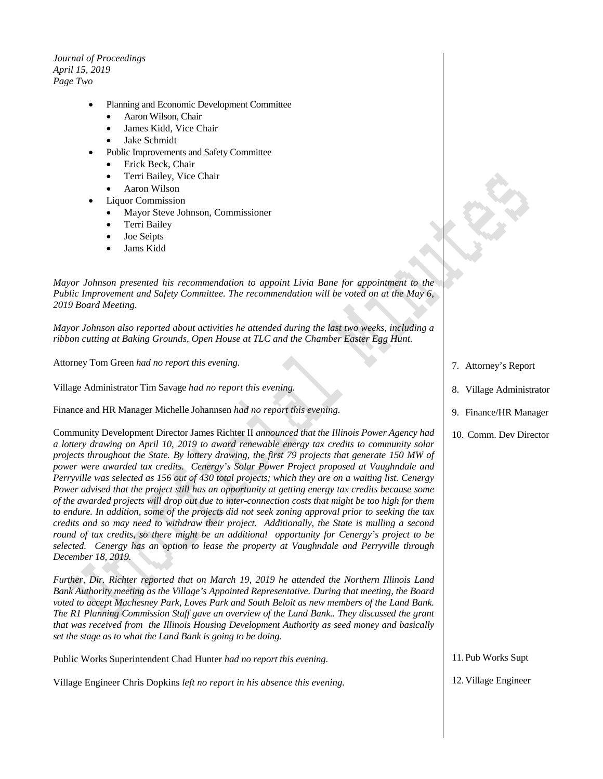*Journal of Proceedings April 15, 2019 Page Two*

- Planning and Economic Development Committee
	- Aaron Wilson, Chair
	- James Kidd, Vice Chair
	- Jake Schmidt
- Public Improvements and Safety Committee
	- Erick Beck, Chair
	- Terri Bailey, Vice Chair
	- Aaron Wilson
- Liquor Commission
	- Mayor Steve Johnson, Commissioner
	- Terri Bailey
	- Joe Seipts
	- Jams Kidd

*Mayor Johnson presented his recommendation to appoint Livia Bane for appointment to the Public Improvement and Safety Committee. The recommendation will be voted on at the May 6, 2019 Board Meeting.*

*Mayor Johnson also reported about activities he attended during the last two weeks, including a ribbon cutting at Baking Grounds, Open House at TLC and the Chamber Easter Egg Hunt.*

Attorney Tom Green *had no report this evening.*

Village Administrator Tim Savage *had no report this evening.*

Finance and HR Manager Michelle Johannsen *had no report this evening.*

Community Development Director James Richter II *announced that the Illinois Power Agency had a lottery drawing on April 10, 2019 to award renewable energy tax credits to community solar projects throughout the State. By lottery drawing, the first 79 projects that generate 150 MW of power were awarded tax credits. Cenergy's Solar Power Project proposed at Vaughndale and Perryville was selected as 156 out of 430 total projects; which they are on a waiting list. Cenergy Power advised that the project still has an opportunity at getting energy tax credits because some of the awarded projects will drop out due to inter-connection costs that might be too high for them to endure. In addition, some of the projects did not seek zoning approval prior to seeking the tax credits and so may need to withdraw their project. Additionally, the State is mulling a second round of tax credits, so there might be an additional opportunity for Cenergy's project to be selected. Cenergy has an option to lease the property at Vaughndale and Perryville through December 18, 2019.* 

*Further, Dir. Richter reported that on March 19, 2019 he attended the Northern Illinois Land Bank Authority meeting as the Village's Appointed Representative. During that meeting, the Board voted to accept Machesney Park, Loves Park and South Beloit as new members of the Land Bank. The R1 Planning Commission Staff gave an overview of the Land Bank.. They discussed the grant that was received from the Illinois Housing Development Authority as seed money and basically set the stage as to what the Land Bank is going to be doing.*

Public Works Superintendent Chad Hunter *had no report this evening.*

Village Engineer Chris Dopkins *left no report in his absence this evening.*

- 7. Attorney's Report
- 8. Village Administrator
- 9. Finance/HR Manager
- 10. Comm. Dev Director

11.Pub Works Supt

12.Village Engineer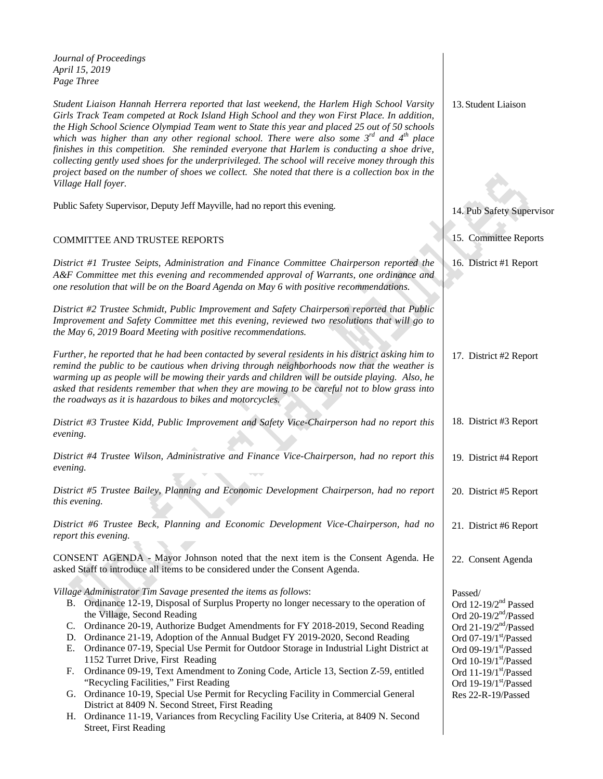*Journal of Proceedings April 15, 2019 Page Three*

*Student Liaison Hannah Herrera reported that last weekend, the Harlem High School Varsity Girls Track Team competed at Rock Island High School and they won First Place. In addition, the High School Science Olympiad Team went to State this year and placed 25 out of 50 schools which was higher than any other regional school. There were also some 3rd and 4th place*  finishes in this competition. She reminded everyone that Harlem is conducting a shoe drive, *collecting gently used shoes for the underprivileged. The school will receive money through this project based on the number of shoes we collect. She noted that there is a collection box in the Village Hall foyer.*

Public Safety Supervisor, Deputy Jeff Mayville, had no report this evening.

## COMMITTEE AND TRUSTEE REPORTS

*District #1 Trustee Seipts, Administration and Finance Committee Chairperson reported the A&F Committee met this evening and recommended approval of Warrants, one ordinance and one resolution that will be on the Board Agenda on May 6 with positive recommendations.* 

*District #2 Trustee Schmidt, Public Improvement and Safety Chairperson reported that Public Improvement and Safety Committee met this evening, reviewed two resolutions that will go to the May 6, 2019 Board Meeting with positive recommendations.*

| Further, he reported that he had been contacted by several residents in his district asking him to<br>remind the public to be cautious when driving through neighborhoods now that the weather is<br>warming up as people will be mowing their yards and children will be outside playing. Also, he<br>asked that residents remember that when they are mowing to be careful not to blow grass into<br>the roadways as it is hazardous to bikes and motorcycles.                                                                                                                                            | 17. District #2 Report                                                                                                                                                                                                           |
|-------------------------------------------------------------------------------------------------------------------------------------------------------------------------------------------------------------------------------------------------------------------------------------------------------------------------------------------------------------------------------------------------------------------------------------------------------------------------------------------------------------------------------------------------------------------------------------------------------------|----------------------------------------------------------------------------------------------------------------------------------------------------------------------------------------------------------------------------------|
| District #3 Trustee Kidd, Public Improvement and Safety Vice-Chairperson had no report this<br>evening.                                                                                                                                                                                                                                                                                                                                                                                                                                                                                                     | 18. District #3 Report                                                                                                                                                                                                           |
| District #4 Trustee Wilson, Administrative and Finance Vice-Chairperson, had no report this<br>evening.                                                                                                                                                                                                                                                                                                                                                                                                                                                                                                     | 19. District #4 Report                                                                                                                                                                                                           |
| District #5 Trustee Bailey, Planning and Economic Development Chairperson, had no report<br>this evening.                                                                                                                                                                                                                                                                                                                                                                                                                                                                                                   | 20. District #5 Report                                                                                                                                                                                                           |
| District #6 Trustee Beck, Planning and Economic Development Vice-Chairperson, had no<br>report this evening.                                                                                                                                                                                                                                                                                                                                                                                                                                                                                                | 21. District #6 Report                                                                                                                                                                                                           |
| CONSENT AGENDA - Mayor Johnson noted that the next item is the Consent Agenda. He<br>asked Staff to introduce all items to be considered under the Consent Agenda.                                                                                                                                                                                                                                                                                                                                                                                                                                          | 22. Consent Agenda                                                                                                                                                                                                               |
| Village Administrator Tim Savage presented the items as follows:<br>Ordinance 12-19, Disposal of Surplus Property no longer necessary to the operation of<br>B.<br>the Village, Second Reading<br>Ordinance 20-19, Authorize Budget Amendments for FY 2018-2019, Second Reading<br>C.<br>Ordinance 21-19, Adoption of the Annual Budget FY 2019-2020, Second Reading<br>D.<br>Ordinance 07-19, Special Use Permit for Outdoor Storage in Industrial Light District at<br>Е.<br>1152 Turret Drive, First Reading<br>Ordinance 09-19, Text Amendment to Zoning Code, Article 13, Section Z-59, entitled<br>F. | Passed/<br>Ord 12-19/2 <sup>nd</sup> Passed<br>Ord 20-19/2 $nd$ /Passed<br>Ord $21-19/2nd/P$ assed<br>Ord $07-19/1$ <sup>st</sup> /Passed<br>Ord 09-19/1st/Passed<br>Ord 10-19/1st/Passed<br>Ord $11-19/1$ <sup>st</sup> /Passed |
| "Recycling Facilities," First Reading<br>Ordinance 10-19, Special Use Permit for Recycling Facility in Commercial General<br>G.<br>District at 8409 N. Second Street, First Reading                                                                                                                                                                                                                                                                                                                                                                                                                         | Ord $19-19/1$ <sup>st</sup> /Passed<br>Res 22-R-19/Passed                                                                                                                                                                        |

H. Ordinance 11-19, Variances from Recycling Facility Use Criteria, at 8409 N. Second Street, First Reading

13.Student Liaison

14. Pub Safety Supervisor

15. Committee Reports

16. District #1 Report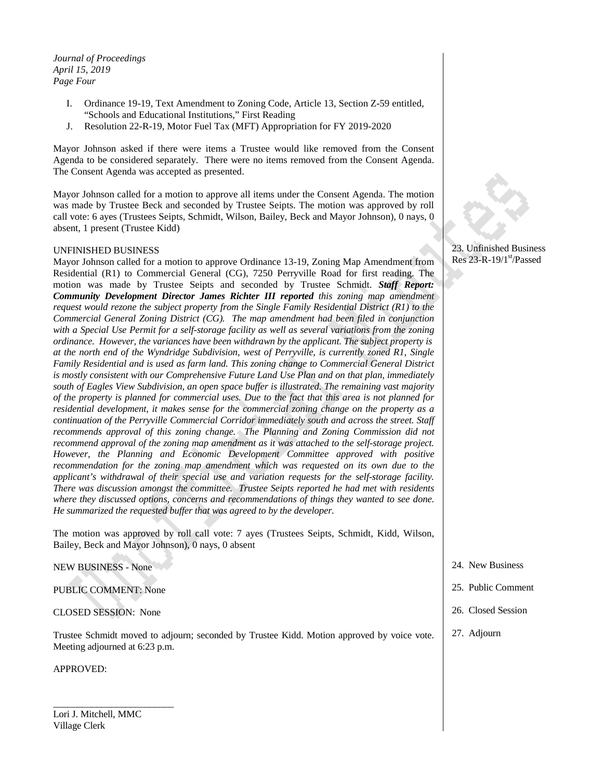*Journal of Proceedings April 15, 2019 Page Four*

- I. Ordinance 19-19, Text Amendment to Zoning Code, Article 13, Section Z-59 entitled, "Schools and Educational Institutions," First Reading
- J. Resolution 22-R-19, Motor Fuel Tax (MFT) Appropriation for FY 2019-2020

Mayor Johnson asked if there were items a Trustee would like removed from the Consent Agenda to be considered separately. There were no items removed from the Consent Agenda. The Consent Agenda was accepted as presented.

Mayor Johnson called for a motion to approve all items under the Consent Agenda. The motion was made by Trustee Beck and seconded by Trustee Seipts. The motion was approved by roll call vote: 6 ayes (Trustees Seipts, Schmidt, Wilson, Bailey, Beck and Mayor Johnson), 0 nays, 0 absent, 1 present (Trustee Kidd)

## UNFINISHED BUSINESS

Mayor Johnson called for a motion to approve Ordinance 13-19, Zoning Map Amendment from Residential (R1) to Commercial General (CG), 7250 Perryville Road for first reading. The motion was made by Trustee Seipts and seconded by Trustee Schmidt. *Staff Report: Community Development Director James Richter III reported this zoning map amendment request would rezone the subject property from the Single Family Residential District (R1) to the Commercial General Zoning District (CG). The map amendment had been filed in conjunction with a Special Use Permit for a self-storage facility as well as several variations from the zoning ordinance. However, the variances have been withdrawn by the applicant. The subject property is at the north end of the Wyndridge Subdivision, west of Perryville, is currently zoned R1, Single Family Residential and is used as farm land. This zoning change to Commercial General District is mostly consistent with our Comprehensive Future Land Use Plan and on that plan, immediately south of Eagles View Subdivision, an open space buffer is illustrated. The remaining vast majority of the property is planned for commercial uses. Due to the fact that this area is not planned for residential development, it makes sense for the commercial zoning change on the property as a continuation of the Perryville Commercial Corridor immediately south and across the street. Staff recommends approval of this zoning change. The Planning and Zoning Commission did not recommend approval of the zoning map amendment as it was attached to the self-storage project. However, the Planning and Economic Development Committee approved with positive recommendation for the zoning map amendment which was requested on its own due to the applicant's withdrawal of their special use and variation requests for the self-storage facility. There was discussion amongst the committee. Trustee Seipts reported he had met with residents where they discussed options, concerns and recommendations of things they wanted to see done. He summarized the requested buffer that was agreed to by the developer.*

The motion was approved by roll call vote: 7 ayes (Trustees Seipts, Schmidt, Kidd, Wilson, Bailey, Beck and Mayor Johnson), 0 nays, 0 absent

NEW BUSINESS - None

PUBLIC COMMENT: None

CLOSED SESSION: None

Trustee Schmidt moved to adjourn; seconded by Trustee Kidd. Motion approved by voice vote. Meeting adjourned at 6:23 p.m.

APPROVED:

Lori J. Mitchell, MMC Village Clerk

\_\_\_\_\_\_\_\_\_\_\_\_\_\_\_\_\_\_\_\_\_\_\_\_\_

23. Unfinished Business Res 23-R-19/1 $\mathrm{^{st}}$ /Passed

- 24. New Business
- 25. Public Comment
- 26. Closed Session
- 27. Adjourn